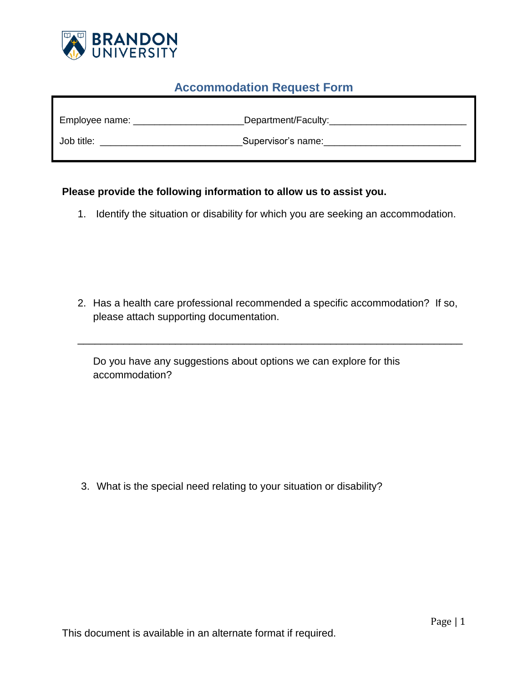

## **Accommodation Request Form**

| Employee name: | Department/Faculty: |
|----------------|---------------------|
| Job title:     | Supervisor's name:  |

## **Please provide the following information to allow us to assist you.**

1. Identify the situation or disability for which you are seeking an accommodation.

2. Has a health care professional recommended a specific accommodation? If so, please attach supporting documentation.

\_\_\_\_\_\_\_\_\_\_\_\_\_\_\_\_\_\_\_\_\_\_\_\_\_\_\_\_\_\_\_\_\_\_\_\_\_\_\_\_\_\_\_\_\_\_\_\_\_\_\_\_\_\_\_\_\_\_\_\_\_\_\_\_\_\_\_

Do you have any suggestions about options we can explore for this accommodation?

3. What is the special need relating to your situation or disability?